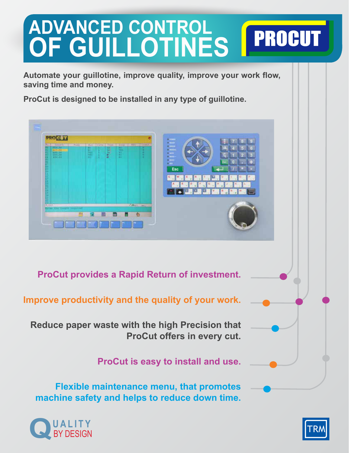# **ADVANCED CONTROL PROCUT OF GUILLOTINES**

**Automate your guillotine, improve quality, improve your work flow, saving time and money.** 

**ProCut is designed to be installed in any type of guillotine.**



**ProCut provides a Rapid Return of investment.**

**Improve productivity and the quality of your work.**

**Reduce paper waste with the high Precision that ProCut offers in every cut.**

**ProCut is easy to install and use.**

**Flexible maintenance menu, that promotes machine safety and helps to reduce down time.**



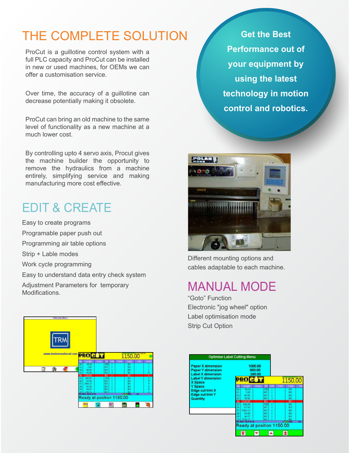# THE COMPLETE SOLUTION

ProCut is a guillotine control system with a full PLC capacity and ProCut can be installed in new or used machines, for OEMs we can offer a customisation service.

Over time, the accuracy of a guillotine can decrease potentially making it obsolete.

ProCut can bring an old machine to the same level of functionality as a new machine at a much lower cost.

By controlling upto 4 servo axis, Procut gives the machine builder the opportunity to remove the hydraulics from a machine entirely, simplifying service and making manufacturing more cost effective.

# EDIT & CREATE

Easy to create programs Programable paper push out Programming air table options Strip + Lable modes Work cycle programming Easy to understand data entry check system Adjustment Parameters for temporary Modifications.



**Get the Best Performance out of your equipment by using the latest technology in motion control and robotics.**



Different mounting options and cables adaptable to each machine.

## MANUAL MODE

"Goto" Function Electronic "jog wheel" option Label optimisation mode Strip Cut Option

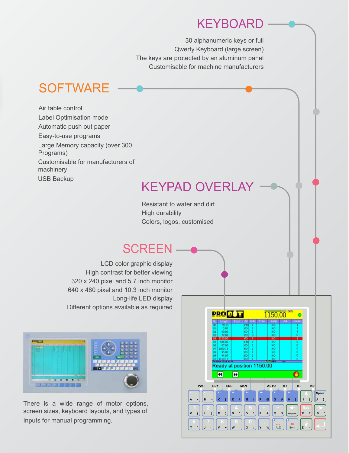#### **KEYBOARD**

30 alphanumeric keys or full Qwerty Keyboard (large screen) The keys are protected by an aluminum panel Customisable for machine manufacturers

### **SOFTWARE**

Air table control Label Optimisation mode Automatic push out paper Easy-to-use programs Large Memory capacity (over 300 Programs) Customisable for manufacturers of machinery USB Backup

#### KEYPAD OVERLAY

Resistant to water and dirt High durability Colors, logos, customised

#### **SCREEN**

LCD color graphic display High contrast for better viewing 320 x 240 pixel and 5.7 inch monitor 640 x 480 pixel and 10.3 inch monitor Long-life LED display Different options available as required



There is a wide range of motor options, screen sizes, keyboard layouts, and types of Inputs for manual programming.